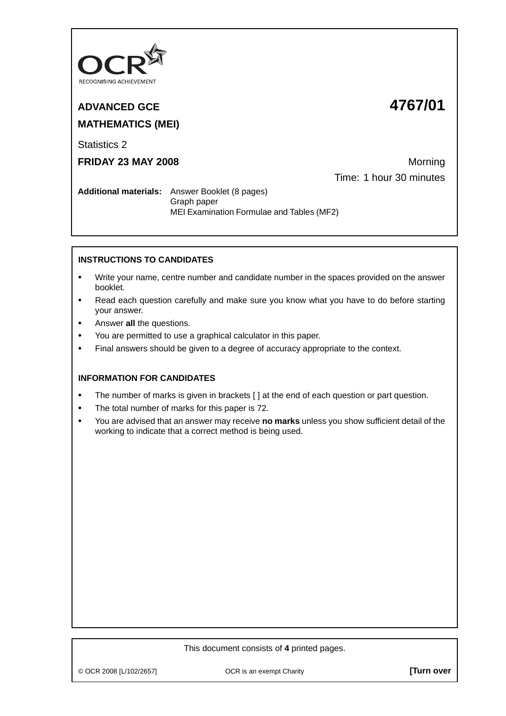

**ADVANCED GCE 4767/01 MATHEMATICS (MEI)**

Statistics 2

**FRIDAY 23 MAY 2008** Morning Time: 1 hour 30 minutes

**Additional materials:** Answer Booklet (8 pages) Graph paper MEI Examination Formulae and Tables (MF2)

## **INSTRUCTIONS TO CANDIDATES**

- **•** Write your name, centre number and candidate number in the spaces provided on the answer booklet.
- **•** Read each question carefully and make sure you know what you have to do before starting your answer.
- **•** Answer **all** the questions.
- **•** You are permitted to use a graphical calculator in this paper.
- **•** Final answers should be given to a degree of accuracy appropriate to the context.

## **INFORMATION FOR CANDIDATES**

- **•** The number of marks is given in brackets [ ] at the end of each question or part question.
- **•** The total number of marks for this paper is 72.
- **•** You are advised that an answer may receive **no marks** unless you show sufficient detail of the working to indicate that a correct method is being used.

## This document consists of **4** printed pages.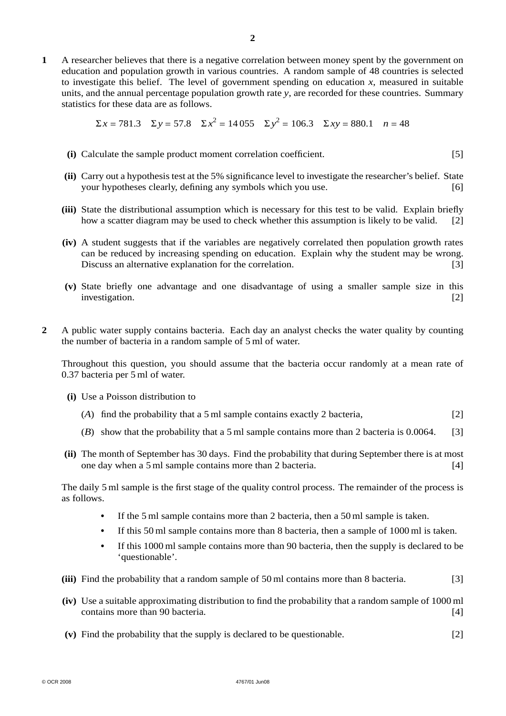**1** A researcher believes that there is a negative correlation between money spent by the government on education and population growth in various countries. A random sample of 48 countries is selected to investigate this belief. The level of government spending on education  $x$ , measured in suitable units, and the annual percentage population growth rate *y*, are recorded for these countries. Summary statistics for these data are as follows.

$$
\Sigma x = 781.3
$$
  $\Sigma y = 57.8$   $\Sigma x^2 = 14055$   $\Sigma y^2 = 106.3$   $\Sigma xy = 880.1$   $n = 48$ 

- **(i)** Calculate the sample product moment correlation coefficient. [5]
- **(ii)** Carry out a hypothesis test at the 5% significance level to investigate the researcher's belief. State your hypotheses clearly, defining any symbols which you use. [6]
- **(iii)** State the distributional assumption which is necessary for this test to be valid. Explain briefly how a scatter diagram may be used to check whether this assumption is likely to be valid. [2]
- **(iv)** A student suggests that if the variables are negatively correlated then population growth rates can be reduced by increasing spending on education. Explain why the student may be wrong. Discuss an alternative explanation for the correlation. [3]
- **(v)** State briefly one advantage and one disadvantage of using a smaller sample size in this investigation. [2]
- **2** A public water supply contains bacteria. Each day an analyst checks the water quality by counting the number of bacteria in a random sample of 5 ml of water.

Throughout this question, you should assume that the bacteria occur randomly at a mean rate of 0.37 bacteria per 5 ml of water.

- **(i)** Use a Poisson distribution to
	- (*A*) find the probability that a 5 ml sample contains exactly 2 bacteria, [2]
	- (*B*) show that the probability that a 5 ml sample contains more than 2 bacteria is 0.0064. [3]
- **(ii)** The month of September has 30 days. Find the probability that during September there is at most one day when a 5 ml sample contains more than 2 bacteria. [4]

The daily 5 ml sample is the first stage of the quality control process. The remainder of the process is as follows.

- **•** If the 5 ml sample contains more than 2 bacteria, then a 50 ml sample is taken.
- If this 50 ml sample contains more than 8 bacteria, then a sample of 1000 ml is taken.
- **•** If this 1000 ml sample contains more than 90 bacteria, then the supply is declared to be 'questionable'.
- **(iii)** Find the probability that a random sample of 50 ml contains more than 8 bacteria. [3]
- **(iv)** Use a suitable approximating distribution to find the probability that a random sample of 1000 ml contains more than 90 bacteria. [4]
- **(v)** Find the probability that the supply is declared to be questionable. [2]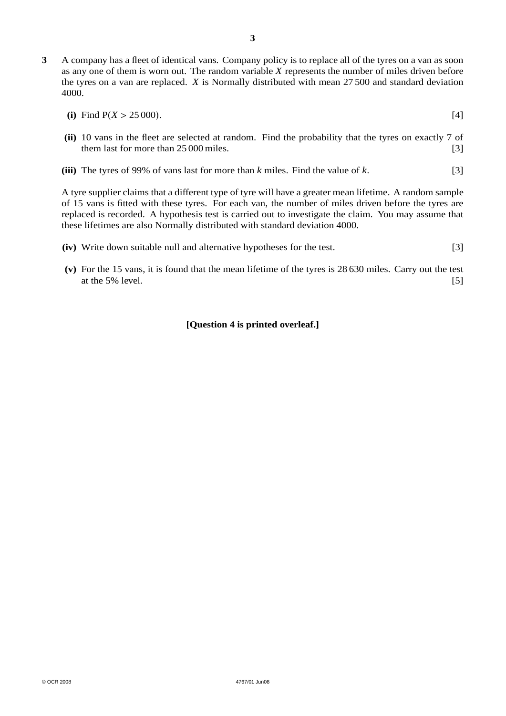- **3** A company has a fleet of identical vans. Company policy is to replace all of the tyres on a van as soon as any one of them is worn out. The random variable *X* represents the number of miles driven before the tyres on a van are replaced. *X* is Normally distributed with mean 27 500 and standard deviation 4000.
	- (i) Find  $P(X > 25000)$ . [4]
	- **(ii)** 10 vans in the fleet are selected at random. Find the probability that the tyres on exactly 7 of them last for more than 25 000 miles. [3]
	- **(iii)** The tyres of 99% of vans last for more than *k* miles. Find the value of *k*. [3]

A tyre supplier claims that a different type of tyre will have a greater mean lifetime. A random sample of 15 vans is fitted with these tyres. For each van, the number of miles driven before the tyres are replaced is recorded. A hypothesis test is carried out to investigate the claim. You may assume that these lifetimes are also Normally distributed with standard deviation 4000.

- **(iv)** Write down suitable null and alternative hypotheses for the test. [3]
- **(v)** For the 15 vans, it is found that the mean lifetime of the tyres is 28 630 miles. Carry out the test at the 5% level.  $[5]$

## **[Question 4 is printed overleaf.]**